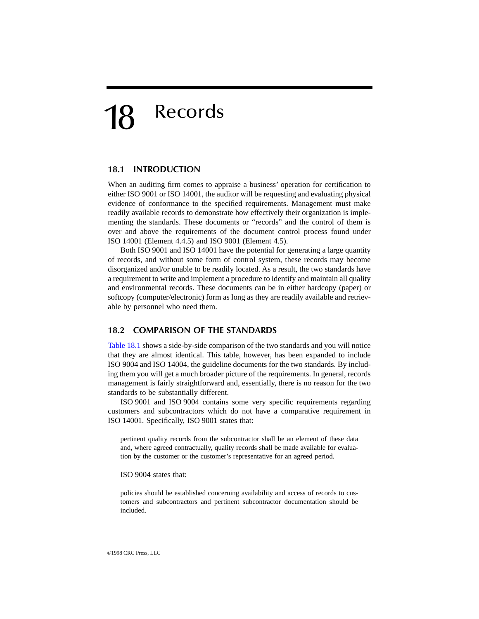# <span id="page-0-0"></span>18 Records

### **18.1 INTRODUCTION**

When an auditing firm comes to appraise a business' operation for certification to either ISO 9001 or ISO 14001, the auditor will be requesting and evaluating physical evidence of conformance to the specified requirements. Management must make readily available records to demonstrate how effectively their organization is implementing the standards. These documents or "records" and the control of them is over and above the requirements of the document control process found under ISO 14001 (Element 4.4.5) and ISO 9001 (Element 4.5).

Both ISO 9001 and ISO 14001 have the potential for generating a large quantity of records, and without some form of control system, these records may become disorganized and/or unable to be readily located. As a result, the two standards have a requirement to write and implement a procedure to identify and maintain all quality and environmental records. These documents can be in either hardcopy (paper) or softcopy (computer/electronic) form as long as they are readily available and retrievable by personnel who need them.

#### **18.2 COMPARISON OF THE STANDARDS**

[Table 18.1](#page-1-0) shows a side-by-side comparison of the two standards and you will notice that they are almost identical. This table, however, has been expanded to include ISO 9004 and ISO 14004, the guideline documents for the two standards. By including them you will get a much broader picture of the requirements. In general, records management is fairly straightforward and, essentially, there is no reason for the two standards to be substantially different.

ISO 9001 and ISO 9004 contains some very specific requirements regarding customers and subcontractors which do not have a comparative requirement in ISO 14001. Specifically, ISO 9001 states that:

pertinent quality records from the subcontractor shall be an element of these data and, where agreed contractually, quality records shall be made available for evaluation by the customer or the customer's representative for an agreed period.

ISO 9004 states that:

policies should be established concerning availability and access of records to customers and subcontractors and pertinent subcontractor documentation should be included.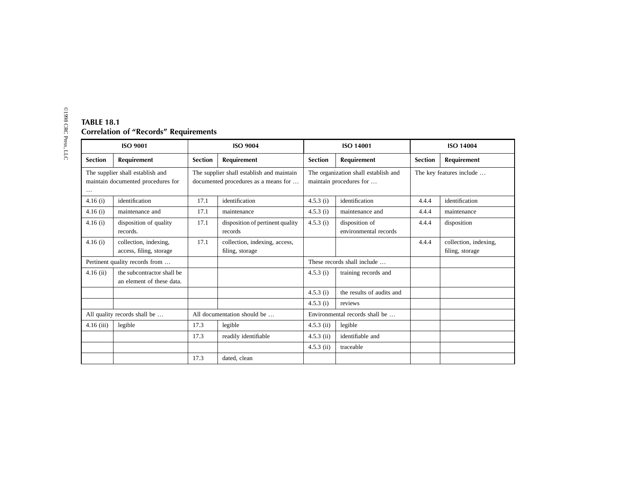<span id="page-1-0"></span>

| ISO 9001                                                                           |                                                         | <b>ISO 9004</b>                                                                   |                                                  | <b>ISO 14001</b>                                                |                                         | <b>ISO 14004</b>         |                                          |
|------------------------------------------------------------------------------------|---------------------------------------------------------|-----------------------------------------------------------------------------------|--------------------------------------------------|-----------------------------------------------------------------|-----------------------------------------|--------------------------|------------------------------------------|
| <b>Section</b>                                                                     | Requirement                                             | <b>Section</b>                                                                    | Requirement                                      | <b>Section</b>                                                  | <b>Requirement</b>                      | <b>Section</b>           | Requirement                              |
| The supplier shall establish and<br>maintain documented procedures for<br>$\cdots$ |                                                         | The supplier shall establish and maintain<br>documented procedures as a means for |                                                  | The organization shall establish and<br>maintain procedures for |                                         | The key features include |                                          |
| 4.16(i)                                                                            | identification                                          | 17.1                                                                              | identification                                   | 4.5.3(i)                                                        | identification                          | 4.4.4                    | identification                           |
| 4.16(i)                                                                            | maintenance and                                         | 17.1                                                                              | maintenance                                      | 4.5.3(i)                                                        | maintenance and                         | 4.4.4                    | maintenance                              |
| 4.16(i)                                                                            | disposition of quality<br>records.                      | 17.1                                                                              | disposition of pertinent quality<br>records      | 4.5.3(i)                                                        | disposition of<br>environmental records | 4.4.4                    | disposition                              |
| 4.16(i)                                                                            | collection, indexing,<br>access, filing, storage        | 17.1                                                                              | collection, indexing, access,<br>filing, storage |                                                                 |                                         | 4.4.4                    | collection, indexing,<br>filing, storage |
| Pertinent quality records from                                                     |                                                         |                                                                                   |                                                  | These records shall include                                     |                                         |                          |                                          |
| $4.16$ (ii)                                                                        | the subcontractor shall be<br>an element of these data. |                                                                                   |                                                  | 4.5.3(i)                                                        | training records and                    |                          |                                          |
|                                                                                    |                                                         |                                                                                   |                                                  | 4.5.3(i)                                                        | the results of audits and               |                          |                                          |
|                                                                                    |                                                         |                                                                                   |                                                  | 4.5.3(i)                                                        | reviews                                 |                          |                                          |
| All quality records shall be                                                       |                                                         | All documentation should be                                                       |                                                  | Environmental records shall be                                  |                                         |                          |                                          |
| $4.16$ (iii)                                                                       | legible                                                 | 17.3                                                                              | legible                                          | $4.5.3$ (ii)                                                    | legible                                 |                          |                                          |
|                                                                                    |                                                         | 17.3                                                                              | readily identifiable                             | $4.5.3$ (ii)                                                    | identifiable and                        |                          |                                          |
|                                                                                    |                                                         |                                                                                   |                                                  | $4.5.3$ (ii)                                                    | traceable                               |                          |                                          |
|                                                                                    |                                                         | 17.3                                                                              | dated, clean                                     |                                                                 |                                         |                          |                                          |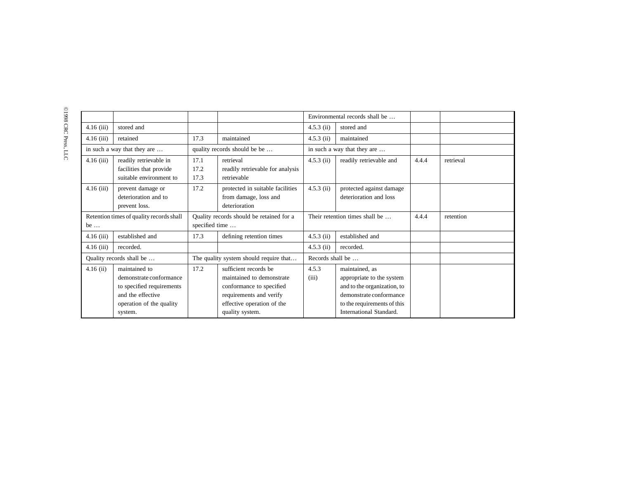|                                          |                           |                                          |                                  |                                | Environmental records shall be |       |           |
|------------------------------------------|---------------------------|------------------------------------------|----------------------------------|--------------------------------|--------------------------------|-------|-----------|
| $4.16$ (iii)                             | stored and                |                                          |                                  | $4.5.3$ (ii)                   | stored and                     |       |           |
| $4.16$ (iii)                             | retained                  | 17.3                                     | maintained                       | $4.5.3$ (ii)                   | maintained                     |       |           |
| in such a way that they are              |                           | quality records should be be             |                                  | in such a way that they are    |                                |       |           |
| $4.16$ (iii)                             | readily retrievable in    | 17.1                                     | retrieval                        | $4.5.3$ (ii)                   | readily retrievable and        | 4.4.4 | retrieval |
|                                          | facilities that provide   | 17.2                                     | readily retrievable for analysis |                                |                                |       |           |
|                                          | suitable environment to   | 17.3                                     | retrievable                      |                                |                                |       |           |
| $4.16$ (iii)                             | prevent damage or         | 17.2                                     | protected in suitable facilities | $4.5.3$ (ii)                   | protected against damage       |       |           |
|                                          | deterioration and to      |                                          | from damage, loss and            |                                | deterioration and loss         |       |           |
|                                          | prevent loss.             |                                          | deterioration                    |                                |                                |       |           |
| Retention times of quality records shall |                           | Quality records should be retained for a |                                  | Their retention times shall be |                                | 4.4.4 | retention |
| be $\dots$                               |                           | specified time                           |                                  |                                |                                |       |           |
| $4.16$ (iii)                             | established and           | 17.3                                     | defining retention times         | $4.5.3$ (ii)                   | established and                |       |           |
| $4.16$ (iii)                             | recorded.                 |                                          |                                  | $4.5.3$ (ii)                   | recorded.                      |       |           |
| Quality records shall be                 |                           | The quality system should require that   |                                  | Records shall be               |                                |       |           |
| $4.16$ (ii)                              | maintained to             | 17.2                                     | sufficient records be            | 4.5.3                          | maintained, as                 |       |           |
|                                          | demonstrate conformance   |                                          | maintained to demonstrate        | (iii)                          | appropriate to the system      |       |           |
|                                          | to specified requirements |                                          | conformance to specified         |                                | and to the organization, to    |       |           |
|                                          | and the effective         |                                          | requirements and verify          |                                | demonstrate conformance        |       |           |
|                                          | operation of the quality  |                                          | effective operation of the       |                                | to the requirements of this    |       |           |
|                                          | system.                   |                                          | quality system.                  |                                | International Standard.        |       |           |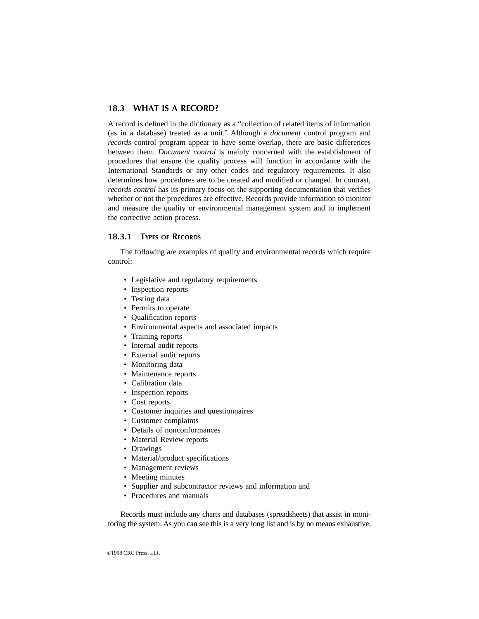# **18.3 WHAT IS A RECORD?**

A record is defined in the dictionary as a "collection of related items of information (as in a database) treated as a unit." Although a *document* control program and *records* control program appear to have some overlap, there are basic differences between them. *Document control* is mainly concerned with the establishment of procedures that ensure the quality process will function in accordance with the International Standards or any other codes and regulatory requirements. It also determines how procedures are to be created and modified or changed. In contrast, *records control* has its primary focus on the supporting documentation that verifies whether or not the procedures are effective. Records provide information to monitor and measure the quality or environmental management system and to implement the corrective action process.

## **18.3.1 TYPES OF RECORDS**

The following are examples of quality and environmental records which require control:

- Legislative and regulatory requirements
- Inspection reports
- Testing data
- Permits to operate
- Qualification reports
- Environmental aspects and associated impacts
- Training reports
- Internal audit reports
- External audit reports
- Monitoring data
- Maintenance reports
- Calibration data
- Inspection reports
- Cost reports
- Customer inquiries and questionnaires
- Customer complaints
- Details of nonconformances
- Material Review reports
- Drawings
- Material/product specifications
- Management reviews
- Meeting minutes
- Supplier and subcontractor reviews and information and
- Procedures and manuals

Records must include any charts and databases (spreadsheets) that assist in monitoring the system. As you can see this is a very long list and is by no means exhaustive.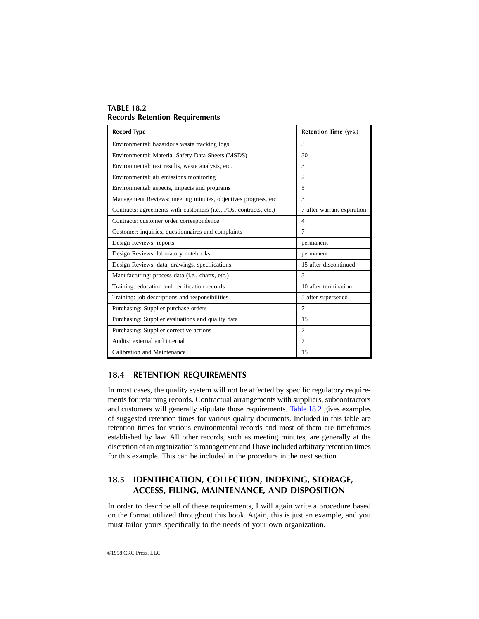### **TABLE 18.2 Records Retention Requirements**

| <b>Record Type</b>                                                | <b>Retention Time (yrs.)</b> |  |  |
|-------------------------------------------------------------------|------------------------------|--|--|
| Environmental: hazardous waste tracking logs                      | 3                            |  |  |
| Environmental: Material Safety Data Sheets (MSDS)                 | 30                           |  |  |
| Environmental: test results, waste analysis, etc.                 | 3                            |  |  |
| Environmental: air emissions monitoring                           | $\mathfrak{D}$               |  |  |
| Environmental: aspects, impacts and programs                      | $\overline{5}$               |  |  |
| Management Reviews: meeting minutes, objectives progress, etc.    | 3                            |  |  |
| Contracts: agreements with customers (i.e., POs, contracts, etc.) | 7 after warrant expiration   |  |  |
| Contracts: customer order correspondence                          | $\overline{4}$               |  |  |
| Customer: inquiries, questionnaires and complaints                | 7                            |  |  |
| Design Reviews: reports                                           | permanent                    |  |  |
| Design Reviews: laboratory notebooks                              | permanent                    |  |  |
| Design Reviews: data, drawings, specifications                    | 15 after discontinued        |  |  |
| Manufacturing: process data (i.e., charts, etc.)                  | 3                            |  |  |
| Training: education and certification records                     | 10 after termination         |  |  |
| Training: job descriptions and responsibilities                   | 5 after superseded           |  |  |
| Purchasing: Supplier purchase orders                              | 7                            |  |  |
| Purchasing: Supplier evaluations and quality data                 | 15                           |  |  |
| Purchasing: Supplier corrective actions                           | $\tau$                       |  |  |
| Audits: external and internal                                     | 7                            |  |  |
| Calibration and Maintenance                                       | 15                           |  |  |

# **18.4 RETENTION REQUIREMENTS**

In most cases, the quality system will not be affected by specific regulatory requirements for retaining records. Contractual arrangements with suppliers, subcontractors and customers will generally stipulate those requirements. Table 18.2 gives examples of suggested retention times for various quality documents. Included in this table are retention times for various environmental records and most of them are timeframes established by law. All other records, such as meeting minutes, are generally at the discretion of an organization's management and I have included arbitrary retention times for this example. This can be included in the procedure in the next section.

# **18.5 IDENTIFICATION, COLLECTION, INDEXING, STORAGE, ACCESS, FILING, MAINTENANCE, AND DISPOSITION**

In order to describe all of these requirements, I will again write a procedure based on the format utilized throughout this book. Again, this is just an example, and you must tailor yours specifically to the needs of your own organization.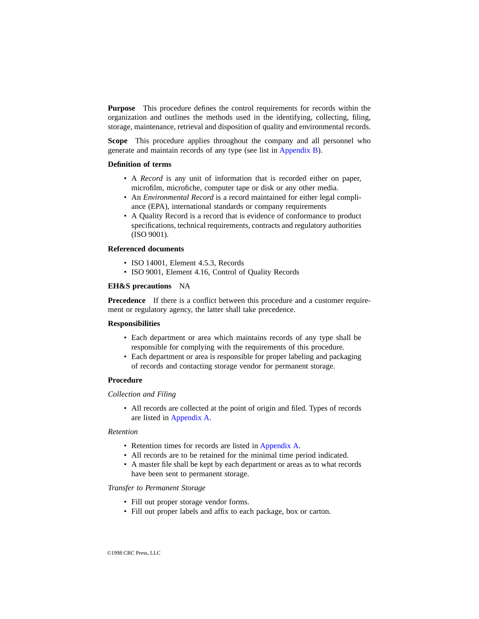**Purpose** This procedure defines the control requirements for records within the organization and outlines the methods used in the identifying, collecting, filing, storage, maintenance, retrieval and disposition of quality and environmental records.

**Scope** This procedure applies throughout the company and all personnel who generate and maintain records of any type (see list in [Appendix B\)](#page-1-0).

#### **Definition of terms**

- A *Record* is any unit of information that is recorded either on paper, microfilm, microfiche, computer tape or disk or any other media.
- An *Environmental Record* is a record maintained for either legal compliance (EPA), international standards or company requirements
- A Quality Record is a record that is evidence of conformance to product specifications, technical requirements, contracts and regulatory authorities (ISO 9001).

#### **Referenced documents**

- ISO 14001, Element 4.5.3, Records
- ISO 9001, Element 4.16, Control of Quality Records

#### **EH&S precautions** NA

**Precedence** If there is a conflict between this procedure and a customer requirement or regulatory agency, the latter shall take precedence.

#### **Responsibilities**

- Each department or area which maintains records of any type shall be responsible for complying with the requirements of this procedure.
- Each department or area is responsible for proper labeling and packaging of records and contacting storage vendor for permanent storage.

#### **Procedure**

#### *Collection and Filing*

• All records are collected at the point of origin and filed. Types of records are listed in [Appendix A.](#page-0-0)

#### *Retention*

- Retention times for records are listed in [Appendix A.](#page-0-0)
- All records are to be retained for the minimal time period indicated.
- A master file shall be kept by each department or areas as to what records have been sent to permanent storage.

#### *Transfer to Permanent Storage*

- Fill out proper storage vendor forms.
- Fill out proper labels and affix to each package, box or carton.